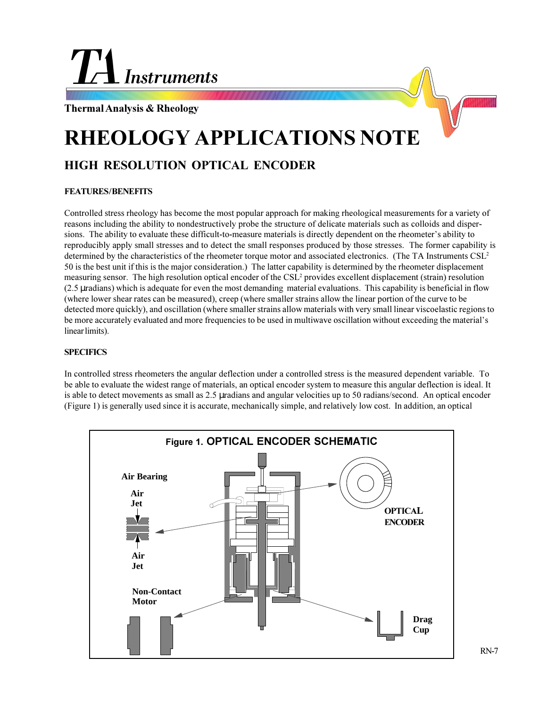# **Instruments**

**Thermal Analysis & Rheology**

## **RHEOLOGY APPLICATIONS NOTE**

### **HIGH RESOLUTION OPTICAL ENCODER**

#### **FEATURES / BENEFITS**

Controlled stress rheology has become the most popular approach for making rheological measurements for a variety of reasons including the ability to nondestructively probe the structure of delicate materials such as colloids and dispersions. The ability to evaluate these difficult-to-measure materials is directly dependent on the rheometer's ability to reproducibly apply small stresses and to detect the small responses produced by those stresses. The former capability is determined by the characteristics of the rheometer torque motor and associated electronics. (The TA Instruments CSL<sup>2</sup> 50 is the best unit if this is the major consideration.) The latter capability is determined by the rheometer displacement measuring sensor. The high resolution optical encoder of the CSL<sup>2</sup> provides excellent displacement (strain) resolution (2.5 µradians) which is adequate for even the most demanding material evaluations. This capability is beneficial in flow (where lower shear rates can be measured), creep (where smaller strains allow the linear portion of the curve to be detected more quickly), and oscillation (where smaller strains allow materials with very small linear viscoelastic regions to be more accurately evaluated and more frequencies to be used in multiwave oscillation without exceeding the material's linear limits).

#### **SPECIFICS**

In controlled stress rheometers the angular deflection under a controlled stress is the measured dependent variable. To be able to evaluate the widest range of materials, an optical encoder system to measure this angular deflection is ideal. It is able to detect movements as small as 2.5 µradians and angular velocities up to 50 radians/second. An optical encoder (Figure 1) is generally used since it is accurate, mechanically simple, and relatively low cost. In addition, an optical